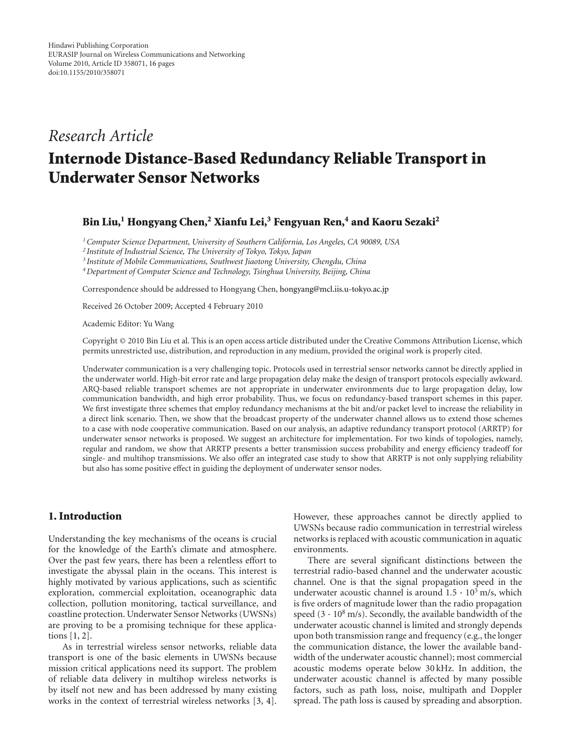# *Research Article*

# **Internode Distance-Based Redundancy Reliable Transport in Underwater Sensor Networks**

#### **Bin Liu,1 Hongyang Chen,2 Xianfu Lei,3 Fengyuan Ren,4 and Kaoru Sezaki2**

*1Computer Science Department, University of Southern California, Los Angeles, CA 90089, USA*

*<sup>2</sup> Institute of Industrial Science, The University of Tokyo, Tokyo, Japan*

*<sup>3</sup> Institute of Mobile Communications, Southwest Jiaotong University, Chengdu, China*

*4Department of Computer Science and Technology, Tsinghua University, Beijing, China*

Correspondence should be addressed to Hongyang Chen, hongyang@mcl.iis.u-tokyo.ac.jp

Received 26 October 2009; Accepted 4 February 2010

Academic Editor: Yu Wang

Copyright © 2010 Bin Liu et al. This is an open access article distributed under the Creative Commons Attribution License, which permits unrestricted use, distribution, and reproduction in any medium, provided the original work is properly cited.

Underwater communication is a very challenging topic. Protocols used in terrestrial sensor networks cannot be directly applied in the underwater world. High-bit error rate and large propagation delay make the design of transport protocols especially awkward. ARQ-based reliable transport schemes are not appropriate in underwater environments due to large propagation delay, low communication bandwidth, and high error probability. Thus, we focus on redundancy-based transport schemes in this paper. We first investigate three schemes that employ redundancy mechanisms at the bit and/or packet level to increase the reliability in a direct link scenario. Then, we show that the broadcast property of the underwater channel allows us to extend those schemes to a case with node cooperative communication. Based on our analysis, an adaptive redundancy transport protocol (ARRTP) for underwater sensor networks is proposed. We suggest an architecture for implementation. For two kinds of topologies, namely, regular and random, we show that ARRTP presents a better transmission success probability and energy efficiency tradeoff for single- and multihop transmissions. We also offer an integrated case study to show that ARRTP is not only supplying reliability but also has some positive effect in guiding the deployment of underwater sensor nodes.

#### **1. Introduction**

Understanding the key mechanisms of the oceans is crucial for the knowledge of the Earth's climate and atmosphere. Over the past few years, there has been a relentless effort to investigate the abyssal plain in the oceans. This interest is highly motivated by various applications, such as scientific exploration, commercial exploitation, oceanographic data collection, pollution monitoring, tactical surveillance, and coastline protection. Underwater Sensor Networks (UWSNs) are proving to be a promising technique for these applications [1, 2].

As in terrestrial wireless sensor networks, reliable data transport is one of the basic elements in UWSNs because mission critical applications need its support. The problem of reliable data delivery in multihop wireless networks is by itself not new and has been addressed by many existing works in the context of terrestrial wireless networks [3, 4].

However, these approaches cannot be directly applied to UWSNs because radio communication in terrestrial wireless networks is replaced with acoustic communication in aquatic environments.

There are several significant distinctions between the terrestrial radio-based channel and the underwater acoustic channel. One is that the signal propagation speed in the underwater acoustic channel is around  $1.5 \cdot 10^3$  m/s, which is five orders of magnitude lower than the radio propagation speed  $(3 \cdot 10^8 \text{ m/s})$ . Secondly, the available bandwidth of the underwater acoustic channel is limited and strongly depends upon both transmission range and frequency (e.g., the longer the communication distance, the lower the available bandwidth of the underwater acoustic channel); most commercial acoustic modems operate below 30 kHz. In addition, the underwater acoustic channel is affected by many possible factors, such as path loss, noise, multipath and Doppler spread. The path loss is caused by spreading and absorption.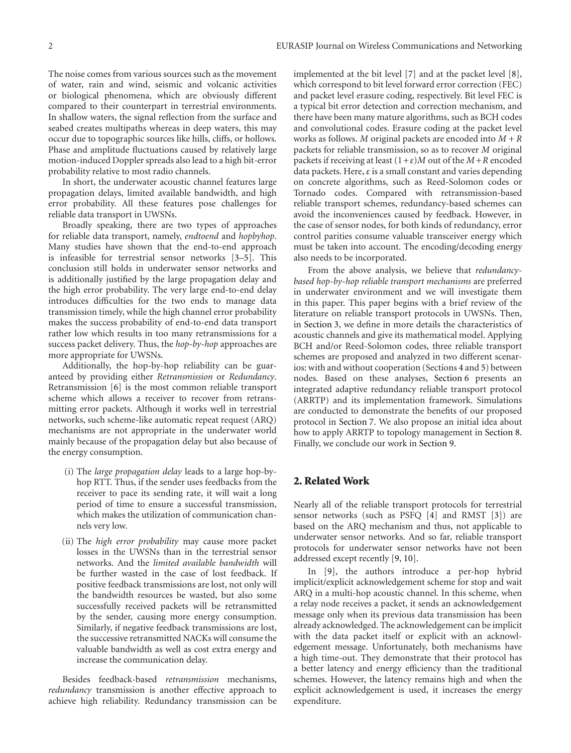The noise comes from various sources such as the movement of water, rain and wind, seismic and volcanic activities or biological phenomena, which are obviously different compared to their counterpart in terrestrial environments. In shallow waters, the signal reflection from the surface and seabed creates multipaths whereas in deep waters, this may occur due to topographic sources like hills, cliffs, or hollows. Phase and amplitude fluctuations caused by relatively large motion-induced Doppler spreads also lead to a high bit-error probability relative to most radio channels.

In short, the underwater acoustic channel features large propagation delays, limited available bandwidth, and high error probability. All these features pose challenges for reliable data transport in UWSNs.

Broadly speaking, there are two types of approaches for reliable data transport, namely, *endtoend* and *hopbyhop*. Many studies have shown that the end-to-end approach is infeasible for terrestrial sensor networks [3–5]. This conclusion still holds in underwater sensor networks and is additionally justified by the large propagation delay and the high error probability. The very large end-to-end delay introduces difficulties for the two ends to manage data transmission timely, while the high channel error probability makes the success probability of end-to-end data transport rather low which results in too many retransmissions for a success packet delivery. Thus, the *hop-by-hop* approaches are more appropriate for UWSNs.

Additionally, the hop-by-hop reliability can be guaranteed by providing either *Retransmission* or *Redundancy*. Retransmission [6] is the most common reliable transport scheme which allows a receiver to recover from retransmitting error packets. Although it works well in terrestrial networks, such scheme-like automatic repeat request (ARQ) mechanisms are not appropriate in the underwater world mainly because of the propagation delay but also because of the energy consumption.

- (i) The *large propagation delay* leads to a large hop-byhop RTT. Thus, if the sender uses feedbacks from the receiver to pace its sending rate, it will wait a long period of time to ensure a successful transmission, which makes the utilization of communication channels very low.
- (ii) The *high error probability* may cause more packet losses in the UWSNs than in the terrestrial sensor networks. And the *limited available bandwidth* will be further wasted in the case of lost feedback. If positive feedback transmissions are lost, not only will the bandwidth resources be wasted, but also some successfully received packets will be retransmitted by the sender, causing more energy consumption. Similarly, if negative feedback transmissions are lost, the successive retransmitted NACKs will consume the valuable bandwidth as well as cost extra energy and increase the communication delay.

Besides feedback-based *retransmission* mechanisms, *redundancy* transmission is another effective approach to achieve high reliability. Redundancy transmission can be

implemented at the bit level [7] and at the packet level [8], which correspond to bit level forward error correction (FEC) and packet level erasure coding, respectively. Bit level FEC is a typical bit error detection and correction mechanism, and there have been many mature algorithms, such as BCH codes and convolutional codes. Erasure coding at the packet level works as follows. *M* original packets are encoded into *M* + *R* packets for reliable transmission, so as to recover *M* original packets if receiving at least  $(1+\varepsilon)M$  out of the  $M+R$  encoded data packets. Here, *ε* is a small constant and varies depending on concrete algorithms, such as Reed-Solomon codes or Tornado codes. Compared with retransmission-based reliable transport schemes, redundancy-based schemes can avoid the inconveniences caused by feedback. However, in the case of sensor nodes, for both kinds of redundancy, error control parities consume valuable transceiver energy which must be taken into account. The encoding/decoding energy also needs to be incorporated.

From the above analysis, we believe that *redundancybased hop-by-hop reliable transport mechanisms* are preferred in underwater environment and we will investigate them in this paper. This paper begins with a brief review of the literature on reliable transport protocols in UWSNs. Then, in Section 3, we define in more details the characteristics of acoustic channels and give its mathematical model. Applying BCH and/or Reed-Solomon codes, three reliable transport schemes are proposed and analyzed in two different scenarios: with and without cooperation (Sections 4 and 5) between nodes. Based on these analyses, Section 6 presents an integrated adaptive redundancy reliable transport protocol (ARRTP) and its implementation framework. Simulations are conducted to demonstrate the benefits of our proposed protocol in Section 7. We also propose an initial idea about how to apply ARRTP to topology management in Section 8. Finally, we conclude our work in Section 9.

# **2. Related Work**

Nearly all of the reliable transport protocols for terrestrial sensor networks (such as PSFQ [4] and RMST [3]) are based on the ARQ mechanism and thus, not applicable to underwater sensor networks. And so far, reliable transport protocols for underwater sensor networks have not been addressed except recently [9, 10].

In [9], the authors introduce a per-hop hybrid implicit/explicit acknowledgement scheme for stop and wait ARQ in a multi-hop acoustic channel. In this scheme, when a relay node receives a packet, it sends an acknowledgement message only when its previous data transmission has been already acknowledged. The acknowledgement can be implicit with the data packet itself or explicit with an acknowledgement message. Unfortunately, both mechanisms have a high time-out. They demonstrate that their protocol has a better latency and energy efficiency than the traditional schemes. However, the latency remains high and when the explicit acknowledgement is used, it increases the energy expenditure.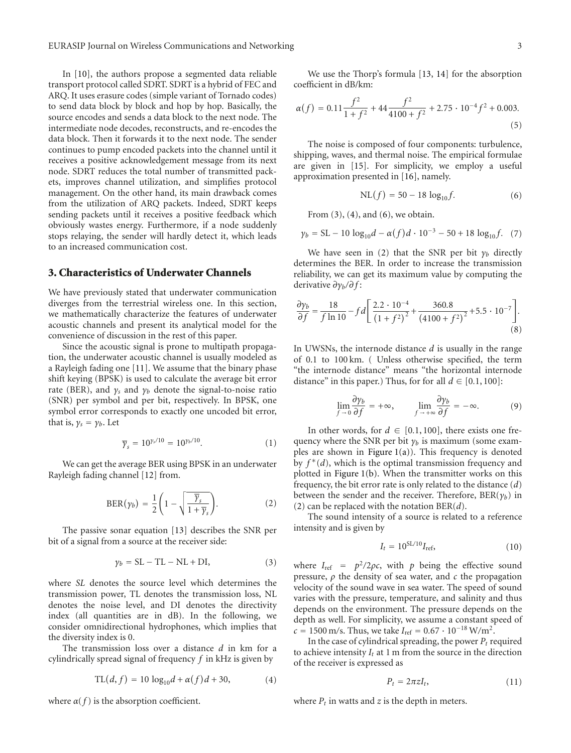In [10], the authors propose a segmented data reliable transport protocol called SDRT. SDRT is a hybrid of FEC and ARQ. It uses erasure codes (simple variant of Tornado codes) to send data block by block and hop by hop. Basically, the source encodes and sends a data block to the next node. The intermediate node decodes, reconstructs, and re-encodes the data block. Then it forwards it to the next node. The sender continues to pump encoded packets into the channel until it receives a positive acknowledgement message from its next node. SDRT reduces the total number of transmitted packets, improves channel utilization, and simplifies protocol management. On the other hand, its main drawback comes from the utilization of ARQ packets. Indeed, SDRT keeps sending packets until it receives a positive feedback which obviously wastes energy. Furthermore, if a node suddenly stops relaying, the sender will hardly detect it, which leads to an increased communication cost.

# **3. Characteristics of Underwater Channels**

We have previously stated that underwater communication diverges from the terrestrial wireless one. In this section, we mathematically characterize the features of underwater acoustic channels and present its analytical model for the convenience of discussion in the rest of this paper.

Since the acoustic signal is prone to multipath propagation, the underwater acoustic channel is usually modeled as a Rayleigh fading one [11]. We assume that the binary phase shift keying (BPSK) is used to calculate the average bit error rate (BER), and  $\gamma_s$  and  $\gamma_b$  denote the signal-to-noise ratio (SNR) per symbol and per bit, respectively. In BPSK, one symbol error corresponds to exactly one uncoded bit error, that is,  $\gamma_s = \gamma_b$ . Let

$$
\overline{\gamma}_s = 10^{\gamma_s/10} = 10^{\gamma_b/10}.
$$
 (1)

We can get the average BER using BPSK in an underwater Rayleigh fading channel [12] from.

$$
BER(\gamma_b) = \frac{1}{2} \left( 1 - \sqrt{\frac{\overline{\gamma}_s}{1 + \overline{\gamma}_s}} \right).
$$
 (2)

The passive sonar equation [13] describes the SNR per bit of a signal from a source at the receiver side:

$$
\gamma_b = SL - TL - NL + DI,
$$
 (3)

where *SL* denotes the source level which determines the transmission power, TL denotes the transmission loss, NL denotes the noise level, and DI denotes the directivity index (all quantities are in dB). In the following, we consider omnidirectional hydrophones, which implies that the diversity index is 0.

The transmission loss over a distance *d* in km for a cylindrically spread signal of frequency *f* in kHz is given by

$$
TL(d, f) = 10 \log_{10} d + \alpha(f) d + 30,
$$
 (4)

where  $\alpha(f)$  is the absorption coefficient.

We use the Thorp's formula [13, 14] for the absorption coefficient in dB/km:

$$
\alpha(f) = 0.11 \frac{f^2}{1+f^2} + 44 \frac{f^2}{4100+f^2} + 2.75 \cdot 10^{-4} f^2 + 0.003.
$$
\n(5)

The noise is composed of four components: turbulence, shipping, waves, and thermal noise. The empirical formulae are given in [15]. For simplicity, we employ a useful approximation presented in [16], namely.

$$
NL(f) = 50 - 18 \log_{10} f.
$$
 (6)

From  $(3)$ ,  $(4)$ , and  $(6)$ , we obtain.

$$
\gamma_b = SL - 10 \log_{10} d - \alpha(f) d \cdot 10^{-3} - 50 + 18 \log_{10} f. \tag{7}
$$

We have seen in (2) that the SNR per bit  $\gamma_b$  directly determines the BER. In order to increase the transmission reliability, we can get its maximum value by computing the derivative *∂γb/∂f* :

$$
\frac{\partial y_b}{\partial f} = \frac{18}{f \ln 10} - f d \left[ \frac{2.2 \cdot 10^{-4}}{\left(1 + f^2\right)^2} + \frac{360.8}{\left(4100 + f^2\right)^2} + 5.5 \cdot 10^{-7} \right].
$$
\n(8)

In UWSNs, the internode distance *d* is usually in the range of 0.1 to 100 km. ( Unless otherwise specified, the term "the internode distance" means "the horizontal internode distance" in this paper.) Thus, for for all  $d \in [0.1, 100]$ :

$$
\lim_{f \to 0} \frac{\partial \gamma_b}{\partial f} = +\infty, \qquad \lim_{f \to +\infty} \frac{\partial \gamma_b}{\partial f} = -\infty.
$$
 (9)

In other words, for  $d \in [0.1, 100]$ , there exists one frequency where the SNR per bit  $\gamma_b$  is maximum (some examples are shown in Figure  $1(a)$ ). This frequency is denoted by *f* <sup>∗</sup>(*d*), which is the optimal transmission frequency and plotted in Figure 1(b). When the transmitter works on this frequency, the bit error rate is only related to the distance (*d*) between the sender and the receiver. Therefore, BER(*γb*) in (2) can be replaced with the notation BER(*d*).

The sound intensity of a source is related to a reference intensity and is given by

$$
I_t = 10^{SL/10} I_{\text{ref}}, \tag{10}
$$

where  $I_{ref} = p^2/2\rho c$ , with *p* being the effective sound pressure, *ρ* the density of sea water, and *c* the propagation velocity of the sound wave in sea water. The speed of sound varies with the pressure, temperature, and salinity and thus depends on the environment. The pressure depends on the depth as well. For simplicity, we assume a constant speed of  $c = 1500$  m/s. Thus, we take  $I_{ref} = 0.67 \cdot 10^{-18}$  W/m<sup>2</sup>.

In the case of cylindrical spreading, the power  $P_t$  required to achieve intensity  $I_t$  at 1 m from the source in the direction of the receiver is expressed as

$$
P_t = 2\pi z I_t,\tag{11}
$$

where  $P_t$  in watts and  $z$  is the depth in meters.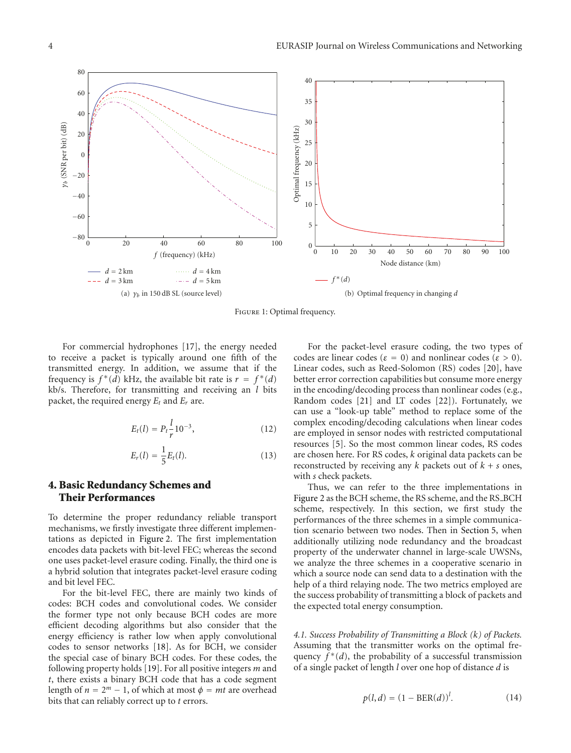

Figure 1: Optimal frequency.

For commercial hydrophones [17], the energy needed to receive a packet is typically around one fifth of the transmitted energy. In addition, we assume that if the frequency is  $f^*(d)$  kHz, the available bit rate is  $r = f^*(d)$ kb/s. Therefore, for transmitting and receiving an *l* bits packet, the required energy  $E_t$  and  $E_r$  are.

$$
E_t(l) = P_t \frac{l}{r} 10^{-3}, \qquad (12)
$$

$$
E_r(l) = \frac{1}{5} E_t(l).
$$
 (13)

# **4. Basic Redundancy Schemes and Their Performances**

To determine the proper redundancy reliable transport mechanisms, we firstly investigate three different implementations as depicted in Figure 2. The first implementation encodes data packets with bit-level FEC; whereas the second one uses packet-level erasure coding. Finally, the third one is a hybrid solution that integrates packet-level erasure coding and bit level FEC.

For the bit-level FEC, there are mainly two kinds of codes: BCH codes and convolutional codes. We consider the former type not only because BCH codes are more efficient decoding algorithms but also consider that the energy efficiency is rather low when apply convolutional codes to sensor networks [18]. As for BCH, we consider the special case of binary BCH codes. For these codes, the following property holds [19]. For all positive integers *m* and *t*, there exists a binary BCH code that has a code segment length of  $n = 2^m - 1$ , of which at most  $\phi = mt$  are overhead bits that can reliably correct up to *t* errors.

For the packet-level erasure coding, the two types of codes are linear codes ( $\varepsilon = 0$ ) and nonlinear codes ( $\varepsilon > 0$ ). Linear codes, such as Reed-Solomon (RS) codes [20], have better error correction capabilities but consume more energy in the encoding/decoding process than nonlinear codes (e.g., Random codes [21] and LT codes [22]). Fortunately, we can use a "look-up table" method to replace some of the complex encoding/decoding calculations when linear codes are employed in sensor nodes with restricted computational resources [5]. So the most common linear codes, RS codes are chosen here. For RS codes, *k* original data packets can be reconstructed by receiving any  $k$  packets out of  $k + s$  ones, with *s* check packets.

Thus, we can refer to the three implementations in Figure 2 as the BCH scheme, the RS scheme, and the RS\_BCH scheme, respectively. In this section, we first study the performances of the three schemes in a simple communication scenario between two nodes. Then in Section 5, when additionally utilizing node redundancy and the broadcast property of the underwater channel in large-scale UWSNs, we analyze the three schemes in a cooperative scenario in which a source node can send data to a destination with the help of a third relaying node. The two metrics employed are the success probability of transmitting a block of packets and the expected total energy consumption.

*4.1. Success Probability of Transmitting a Block (k) of Packets.* Assuming that the transmitter works on the optimal frequency  $f^*(d)$ , the probability of a successful transmission of a single packet of length *l* over one hop of distance *d* is

$$
p(l, d) = (1 - BER(d))^{l}.
$$
 (14)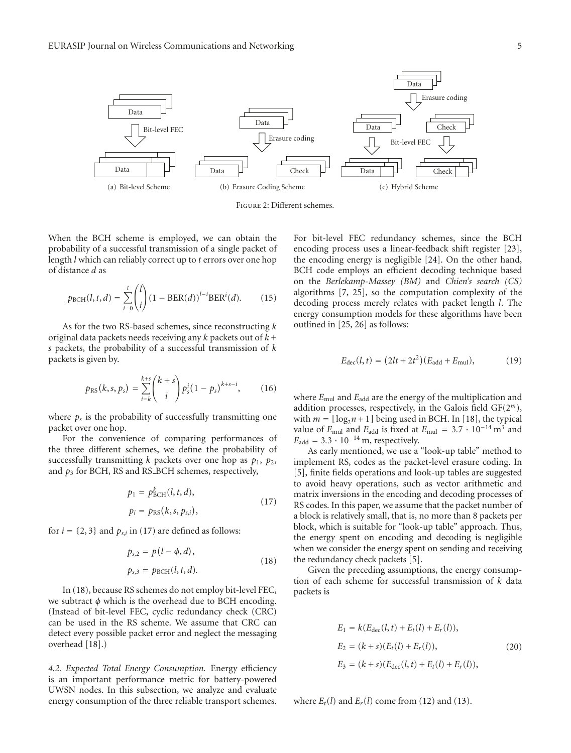

Figure 2: Different schemes.

When the BCH scheme is employed, we can obtain the probability of a successful transmission of a single packet of length *l* which can reliably correct up to *t* errors over one hop of distance *d* as

$$
p_{\text{BCH}}(l, t, d) = \sum_{i=0}^{t} {l \choose i} (1 - \text{BER}(d))^{l-i} \text{BER}^{i}(d). \tag{15}
$$

As for the two RS-based schemes, since reconstructing *k* original data packets needs receiving any *k* packets out of *k* + *s* packets, the probability of a successful transmission of *k* packets is given by.

$$
p_{\rm RS}(k,s,p_s) = \sum_{i=k}^{k+s} {k+s \choose i} p_s^{i} (1-p_s)^{k+s-i}, \qquad (16)
$$

where  $p_s$  is the probability of successfully transmitting one packet over one hop.

For the convenience of comparing performances of the three different schemes, we define the probability of successfully transmitting  $k$  packets over one hop as  $p_1$ ,  $p_2$ , and  $p_3$  for BCH, RS and RS\_BCH schemes, respectively,

$$
p_1 = p_{\text{BCH}}^k(l, t, d), p_i = p_{\text{RS}}(k, s, p_{s,i}),
$$
 (17)

for  $i = \{2, 3\}$  and  $p_{s,i}$  in (17) are defined as follows:

$$
p_{s,2} = p(l - \phi, d),
$$
  
\n
$$
p_{s,3} = p_{\text{BCH}}(l, t, d).
$$
\n(18)

In (18), because RS schemes do not employ bit-level FEC, we subtract *φ* which is the overhead due to BCH encoding. (Instead of bit-level FEC, cyclic redundancy check (CRC) can be used in the RS scheme. We assume that CRC can detect every possible packet error and neglect the messaging overhead [18].)

*4.2. Expected Total Energy Consumption.* Energy efficiency is an important performance metric for battery-powered UWSN nodes. In this subsection, we analyze and evaluate energy consumption of the three reliable transport schemes.

For bit-level FEC redundancy schemes, since the BCH encoding process uses a linear-feedback shift register [23], the encoding energy is negligible [24]. On the other hand, BCH code employs an efficient decoding technique based on the *Berlekamp-Massey (BM)* and *Chien's search (CS)* algorithms [7, 25], so the computation complexity of the decoding process merely relates with packet length *l*. The energy consumption models for these algorithms have been outlined in [25, 26] as follows:

$$
E_{\rm dec}(l, t) = (2lt + 2t^2)(E_{\rm add} + E_{\rm mul}), \tag{19}
$$

where  $E_{\text{mul}}$  and  $E_{\text{add}}$  are the energy of the multiplication and addition processes, respectively, in the Galois field GF(2*<sup>m</sup>*), with  $m = \lfloor \log_2 n + 1 \rfloor$  being used in BCH. In [18], the typical value of  $E_{\text{mul}}$  and  $E_{\text{add}}$  is fixed at  $E_{\text{mul}} = 3.7 \cdot 10^{-14} \text{ m}^3$  and  $E_{\text{add}} = 3.3 \cdot 10^{-14}$  m, respectively.

As early mentioned, we use a "look-up table" method to implement RS, codes as the packet-level erasure coding. In [5], finite fields operations and look-up tables are suggested to avoid heavy operations, such as vector arithmetic and matrix inversions in the encoding and decoding processes of RS codes. In this paper, we assume that the packet number of a block is relatively small, that is, no more than 8 packets per block, which is suitable for "look-up table" approach. Thus, the energy spent on encoding and decoding is negligible when we consider the energy spent on sending and receiving the redundancy check packets [5].

Given the preceding assumptions, the energy consumption of each scheme for successful transmission of *k* data packets is

$$
E_1 = k(E_{\text{dec}}(l, t) + E_t(l) + E_r(l)),
$$
  
\n
$$
E_2 = (k + s)(E_t(l) + E_r(l)),
$$
  
\n
$$
E_3 = (k + s)(E_{\text{dec}}(l, t) + E_t(l) + E_r(l)),
$$
\n(20)

where  $E_t(l)$  and  $E_r(l)$  come from (12) and (13).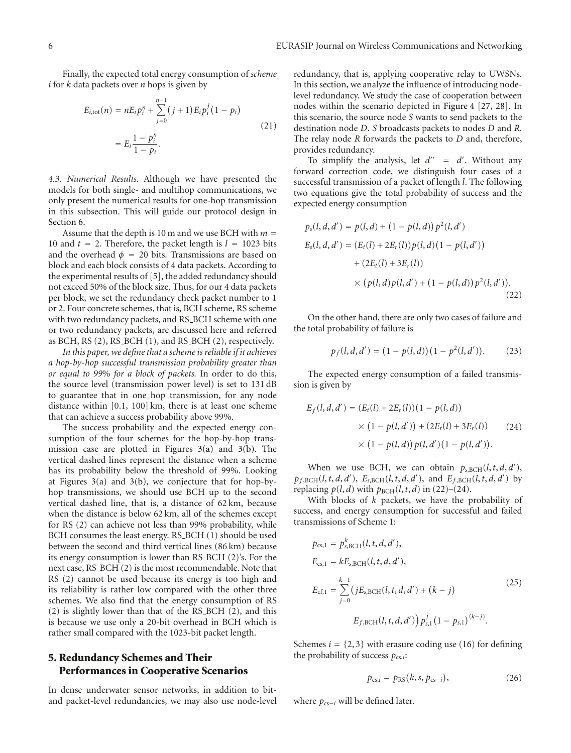Finally, the expected total energy consumption of *scheme i* for *k* data packets over *n* hops is given by

$$
E_{i,\text{tot}}(n) = nE_i p_i^n + \sum_{j=0}^{n-1} (j+1) E_i p_i^j (1-p_i)
$$
  
= 
$$
E_i \frac{1-p_i^n}{1-p_i}.
$$
 (21)

*4.3. Numerical Results.* Although we have presented the models for both single- and multihop communications, we only present the numerical results for one-hop transmission in this subsection. This will guide our protocol design in Section 6.

Assume that the depth is 10 m and we use BCH with  $m =$ 10 and  $t = 2$ . Therefore, the packet length is  $l = 1023$  bits and the overhead  $\phi = 20$  bits. Transmissions are based on block and each block consists of 4 data packets. According to the experimental results of [5], the added redundancy should not exceed 50% of the block size. Thus, for our 4 data packets per block, we set the redundancy check packet number to 1 or 2. Four concrete schemes, that is, BCH scheme, RS scheme with two redundancy packets, and RS\_BCH scheme with one or two redundancy packets, are discussed here and referred as BCH, RS (2), RS\_BCH (1), and RS\_BCH (2), respectively.

*In this paper, we define that a scheme is reliable if it achieves a hop-by-hop successful transmission probability greater than or equal to 99*% *for a block of packets.* In order to do this, the source level (transmission power level) is set to 131 dB to guarantee that in one hop transmission, for any node distance within [0.1, 100] km, there is at least one scheme that can achieve a success probability above 99%.

The success probability and the expected energy consumption of the four schemes for the hop-by-hop transmission case are plotted in Figures 3(a) and 3(b). The vertical dashed lines represent the distance when a scheme has its probability below the threshold of 99%. Looking at Figures  $3(a)$  and  $3(b)$ , we conjecture that for hop-byhop transmissions, we should use BCH up to the second vertical dashed line, that is, a distance of 62 km, because when the distance is below 62 km, all of the schemes except for RS (2) can achieve not less than 99% probability, while BCH consumes the least energy. RS\_BCH (1) should be used between the second and third vertical lines (86 km) because its energy consumption is lower than RS BCH (2)'s. For the next case, RS\_BCH (2) is the most recommendable. Note that RS (2) cannot be used because its energy is too high and its reliability is rather low compared with the other three schemes. We also find that the energy consumption of RS (2) is slightly lower than that of the RS BCH (2), and this is because we use only a 20-bit overhead in BCH which is rather small compared with the 1023-bit packet length.

# **5. Redundancy Schemes and Their Performances in Cooperative Scenarios**

In dense underwater sensor networks, in addition to bitand packet-level redundancies, we may also use node-level

redundancy, that is, applying cooperative relay to UWSNs. In this section, we analyze the influence of introducing nodelevel redundancy. We study the case of cooperation between nodes within the scenario depicted in Figure 4 [27, 28]. In this scenario, the source node *S* wants to send packets to the destination node *D*. *S* broadcasts packets to nodes *D* and *R*. The relay node *R* forwards the packets to *D* and, therefore, provides redundancy.

To simplify the analysis, let  $d'' = d'$ . Without any forward correction code, we distinguish four cases of a successful transmission of a packet of length *l*. The following two equations give the total probability of success and the expected energy consumption

$$
p_s(l, d, d') = p(l, d) + (1 - p(l, d)) p^2(l, d')
$$
  
\n
$$
E_s(l, d, d') = (E_t(l) + 2E_r(l)) p(l, d) (1 - p(l, d'))
$$
  
\n
$$
+ (2E_t(l) + 3E_r(l))
$$
  
\n
$$
\times (p(l, d) p(l, d') + (1 - p(l, d)) p^2(l, d')).
$$
\n(22)

On the other hand, there are only two cases of failure and the total probability of failure is

$$
p_f(l, d, d') = (1 - p(l, d))(1 - p^2(l, d')).
$$
 (23)

The expected energy consumption of a failed transmission is given by

$$
E_f(l, d, d') = (E_t(l) + 2E_r(l))(1 - p(l, d))
$$
  
× (1 - p(l, d')) + (2E\_t(l) + 3E\_r(l)) (24)  
× (1 - p(l, d))p(l, d')(1 - p(l, d')).

When we use BCH, we can obtain  $p_{s, \text{BCH}}(l, t, d, d')$ ,  $p_{f, \text{BCH}}(l, t, d, d')$ ,  $E_{s, \text{BCH}}(l, t, d, d')$ , and  $E_{f, \text{BCH}}(l, t, d, d')$  by replacing  $p(l, d)$  with  $p_{BCH}(l, t, d)$  in (22)–(24).

With blocks of *k* packets, we have the probability of success, and energy consumption for successful and failed transmissions of Scheme 1:

$$
p_{cs,1} = p_{s,BCH}^{k}(l, t, d, d'),
$$
  
\n
$$
E_{cs,1} = kE_{s,BCH}(l, t, d, d'),
$$
  
\n
$$
E_{cf,1} = \sum_{j=0}^{k-1} (jE_{s,BCH}(l, t, d, d') + (k - j)
$$
  
\n
$$
E_{f,BCH}(l, t, d, d')) p_{s,1}^{j} (1 - p_{s,1})^{(k-j)}.
$$
\n(25)

Schemes  $i = \{2, 3\}$  with erasure coding use (16) for defining the probability of success  $p_{cs,i}$ :

$$
p_{\text{cs},i} = p_{\text{RS}}(k, s, p_{\text{cs}-i}), \qquad (26)
$$

where  $p_{cs-i}$  will be defined later.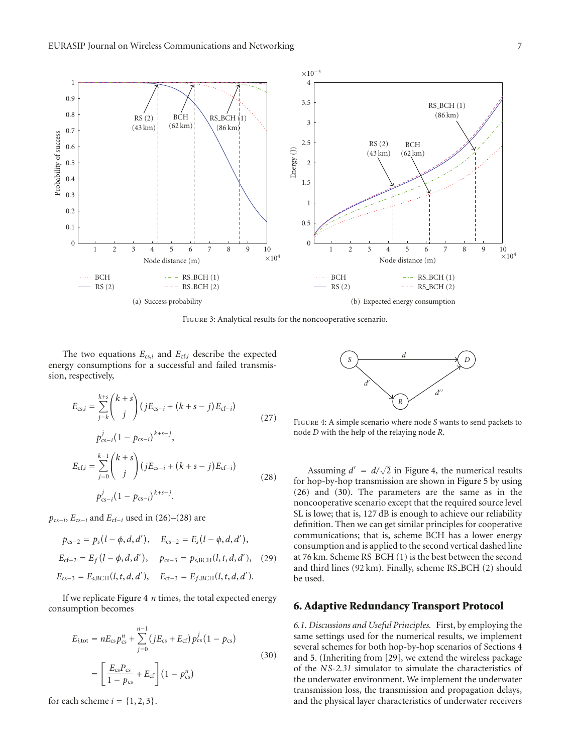

Figure 3: Analytical results for the noncooperative scenario.

The two equations *E*cs,*<sup>i</sup>* and *E*cf,*<sup>i</sup>* describe the expected energy consumptions for a successful and failed transmission, respectively,

$$
E_{cs,i} = \sum_{j=k}^{k+s} {k+s \choose j} (jE_{cs-i} + (k+s-j)E_{cf-i})
$$
  
\n
$$
p_{cs-i}^j (1 - p_{cs-i})^{k+s-j},
$$
  
\n
$$
E_{cf,i} = \sum_{j=0}^{k-1} {k+s \choose j} (jE_{cs-i} + (k+s-j)E_{cf-i})
$$
  
\n
$$
p_{cs-i}^j (1 - p_{cs-i})^{k+s-j}.
$$
\n(28)

 $p_{cs-i}$ ,  $E_{cs-i}$  and  $E_{cf-i}$  used in (26)–(28) are

$$
p_{cs-2} = p_s(l - \phi, d, d'), \quad E_{cs-2} = E_s(l - \phi, d, d'),
$$
  
\n
$$
E_{cf-2} = E_f(l - \phi, d, d'), \quad p_{cs-3} = p_{s, \text{BCH}}(l, t, d, d'), \quad (29)
$$
  
\n
$$
E_{cs-3} = E_{s, \text{BCH}}(l, t, d, d'), \quad E_{cf-3} = E_{f, \text{BCH}}(l, t, d, d').
$$

If we replicate Figure 4 *n* times, the total expected energy consumption becomes

$$
E_{i,\text{tot}} = nE_{\text{cs}}p_{\text{cs}}^n + \sum_{j=0}^{n-1} (jE_{\text{cs}} + E_{\text{cf}}) p_{\text{cs}}^j (1 - p_{\text{cs}})
$$
  
= 
$$
\left[ \frac{E_{\text{cs}}p_{\text{cs}}}{1 - p_{\text{cs}}} + E_{\text{cf}} \right] (1 - p_{\text{cs}}^n)
$$
 (30)

for each scheme  $i = \{1, 2, 3\}.$ 



Figure 4: A simple scenario where node *S* wants to send packets to node *D* with the help of the relaying node *R*.

Assuming  $d' = d/\sqrt{2}$  in Figure 4, the numerical results for hop-by-hop transmission are shown in Figure 5 by using (26) and (30). The parameters are the same as in the noncooperative scenario except that the required source level SL is lowe; that is, 127 dB is enough to achieve our reliability definition. Then we can get similar principles for cooperative communications; that is, scheme BCH has a lower energy consumption and is applied to the second vertical dashed line at 76 km. Scheme RS\_BCH (1) is the best between the second and third lines (92 km). Finally, scheme RS BCH (2) should be used.

#### **6. Adaptive Redundancy Transport Protocol**

*6.1. Discussions and Useful Principles.* First, by employing the same settings used for the numerical results, we implement several schemes for both hop-by-hop scenarios of Sections 4 and 5. (Inheriting from [29], we extend the wireless package of the *NS-2.31* simulator to simulate the characteristics of the underwater environment. We implement the underwater transmission loss, the transmission and propagation delays, and the physical layer characteristics of underwater receivers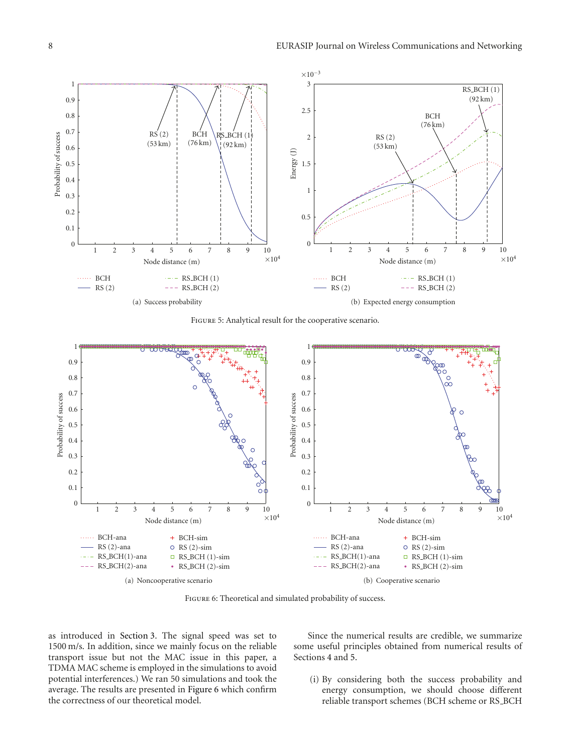

Figure 5: Analytical result for the cooperative scenario.



FIGURE 6: Theoretical and simulated probability of success.

as introduced in Section 3. The signal speed was set to 1500 m/s. In addition, since we mainly focus on the reliable transport issue but not the MAC issue in this paper, a TDMA MAC scheme is employed in the simulations to avoid potential interferences.) We ran 50 simulations and took the average. The results are presented in Figure 6 which confirm the correctness of our theoretical model.

Since the numerical results are credible, we summarize some useful principles obtained from numerical results of Sections 4 and 5.

(i) By considering both the success probability and energy consumption, we should choose different reliable transport schemes (BCH scheme or RS\_BCH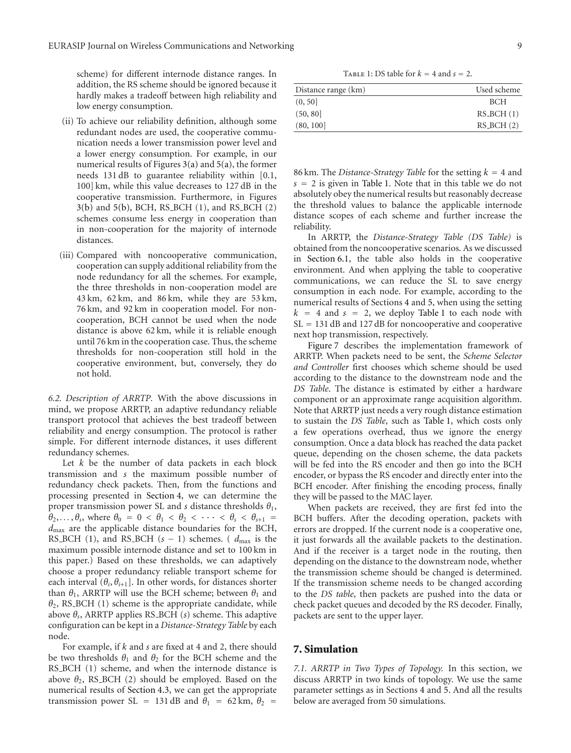scheme) for different internode distance ranges. In addition, the RS scheme should be ignored because it hardly makes a tradeoff between high reliability and low energy consumption.

- (ii) To achieve our reliability definition, although some redundant nodes are used, the cooperative communication needs a lower transmission power level and a lower energy consumption. For example, in our numerical results of Figures  $3(a)$  and  $5(a)$ , the former needs 131 dB to guarantee reliability within [0.1, 100] km, while this value decreases to 127 dB in the cooperative transmission. Furthermore, in Figures 3(b) and 5(b), BCH, RS BCH (1), and RS BCH (2) schemes consume less energy in cooperation than in non-cooperation for the majority of internode distances.
- (iii) Compared with noncooperative communication, cooperation can supply additional reliability from the node redundancy for all the schemes. For example, the three thresholds in non-cooperation model are 43 km, 62 km, and 86 km, while they are 53 km, 76 km, and 92 km in cooperation model. For noncooperation, BCH cannot be used when the node distance is above 62 km, while it is reliable enough until 76 km in the cooperation case. Thus, the scheme thresholds for non-cooperation still hold in the cooperative environment, but, conversely, they do not hold.

*6.2. Description of ARRTP.* With the above discussions in mind, we propose ARRTP, an adaptive redundancy reliable transport protocol that achieves the best tradeoff between reliability and energy consumption. The protocol is rather simple. For different internode distances, it uses different redundancy schemes.

Let *k* be the number of data packets in each block transmission and *s* the maximum possible number of redundancy check packets. Then, from the functions and processing presented in Section 4, we can determine the proper transmission power SL and *s* distance thresholds *θ*1,  $\theta_2, \ldots, \theta_s$ , where  $\theta_0 = 0 < \theta_1 < \theta_2 < \cdots < \theta_s < \theta_{s+1}$ *d*max are the applicable distance boundaries for the BCH, RS\_BCH (1), and RS\_BCH  $(s - 1)$  schemes. ( $d_{\text{max}}$  is the maximum possible internode distance and set to 100 km in this paper.) Based on these thresholds, we can adaptively choose a proper redundancy reliable transport scheme for each interval  $(\theta_i, \theta_{i+1})$ . In other words, for distances shorter than  $\theta_1$ , ARRTP will use the BCH scheme; between  $\theta_1$  and *θ*2, RS BCH (1) scheme is the appropriate candidate, while above *θs*, ARRTP applies RS BCH (*s*) scheme. This adaptive configuration can be kept in a *Distance-Strategy Table* by each node.

For example, if *k* and *s* are fixed at 4 and 2, there should be two thresholds  $\theta_1$  and  $\theta_2$  for the BCH scheme and the RS\_BCH (1) scheme, and when the internode distance is above  $\theta_2$ , RS\_BCH (2) should be employed. Based on the numerical results of Section 4.3, we can get the appropriate transmission power SL = 131 dB and  $\theta_1$  = 62 km,  $\theta_2$  =

TABLE 1: DS table for  $k = 4$  and  $s = 2$ .

| Distance range (km) | Used scheme |
|---------------------|-------------|
| (0, 50]             | <b>BCH</b>  |
| (50, 80)            | $RS_BCH(1)$ |
| (80, 100)           | $RS_BCH(2)$ |
|                     |             |

86 km. The *Distance-Strategy Table* for the setting  $k = 4$  and  $s = 2$  is given in Table 1. Note that in this table we do not absolutely obey the numerical results but reasonably decrease the threshold values to balance the applicable internode distance scopes of each scheme and further increase the reliability.

In ARRTP, the *Distance-Strategy Table (DS Table)* is obtained from the noncooperative scenarios. As we discussed in Section 6.1, the table also holds in the cooperative environment. And when applying the table to cooperative communications, we can reduce the SL to save energy consumption in each node. For example, according to the numerical results of Sections 4 and 5, when using the setting  $k = 4$  and  $s = 2$ , we deploy Table 1 to each node with SL = 131 dB and 127 dB for noncooperative and cooperative next hop transmission, respectively.

Figure 7 describes the implementation framework of ARRTP. When packets need to be sent, the *Scheme Selector and Controller* first chooses which scheme should be used according to the distance to the downstream node and the *DS Table*. The distance is estimated by either a hardware component or an approximate range acquisition algorithm. Note that ARRTP just needs a very rough distance estimation to sustain the *DS Table*, such as Table 1, which costs only a few operations overhead, thus we ignore the energy consumption. Once a data block has reached the data packet queue, depending on the chosen scheme, the data packets will be fed into the RS encoder and then go into the BCH encoder, or bypass the RS encoder and directly enter into the BCH encoder. After finishing the encoding process, finally they will be passed to the MAC layer.

When packets are received, they are first fed into the BCH buffers. After the decoding operation, packets with errors are dropped. If the current node is a cooperative one, it just forwards all the available packets to the destination. And if the receiver is a target node in the routing, then depending on the distance to the downstream node, whether the transmission scheme should be changed is determined. If the transmission scheme needs to be changed according to the *DS table*, then packets are pushed into the data or check packet queues and decoded by the RS decoder. Finally, packets are sent to the upper layer.

# **7. Simulation**

*7.1. ARRTP in Two Types of Topology.* In this section, we discuss ARRTP in two kinds of topology. We use the same parameter settings as in Sections 4 and 5. And all the results below are averaged from 50 simulations.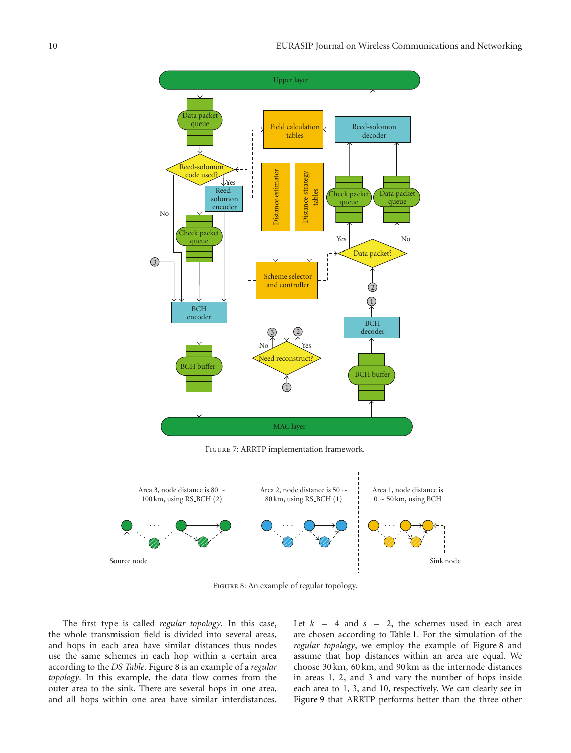



FIGURE 8: An example of regular topology.

The first type is called *regular topology*. In this case, the whole transmission field is divided into several areas, and hops in each area have similar distances thus nodes use the same schemes in each hop within a certain area according to the *DS Table*. Figure 8 is an example of a *regular topology*. In this example, the data flow comes from the outer area to the sink. There are several hops in one area, and all hops within one area have similar interdistances.

Let  $k = 4$  and  $s = 2$ , the schemes used in each area are chosen according to Table 1. For the simulation of the *regular topology*, we employ the example of Figure 8 and assume that hop distances within an area are equal. We choose 30 km, 60 km, and 90 km as the internode distances in areas 1, 2, and 3 and vary the number of hops inside each area to 1, 3, and 10, respectively. We can clearly see in Figure 9 that ARRTP performs better than the three other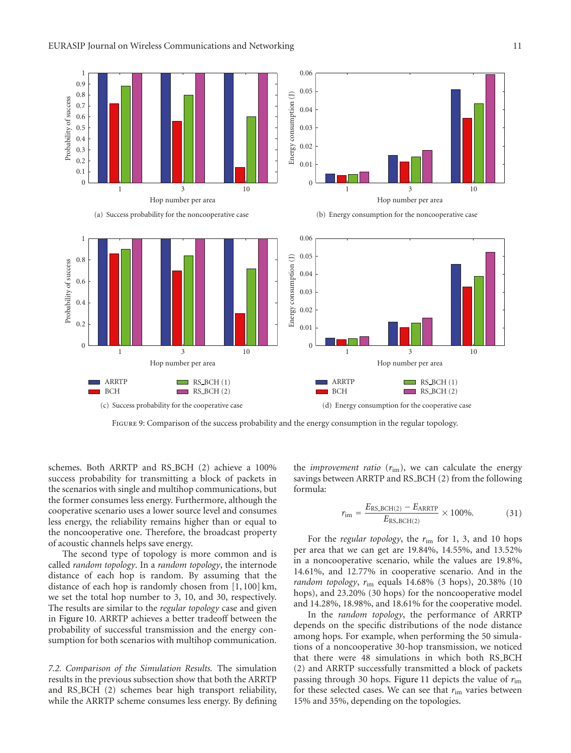

Figure 9: Comparison of the success probability and the energy consumption in the regular topology.

schemes. Both ARRTP and RS BCH (2) achieve a 100% success probability for transmitting a block of packets in the scenarios with single and multihop communications, but the former consumes less energy. Furthermore, although the cooperative scenario uses a lower source level and consumes less energy, the reliability remains higher than or equal to the noncooperative one. Therefore, the broadcast property of acoustic channels helps save energy.

The second type of topology is more common and is called *random topology*. In a *random topology*, the internode distance of each hop is random. By assuming that the distance of each hop is randomly chosen from [1, 100] km, we set the total hop number to 3, 10, and 30, respectively. The results are similar to the *regular topology* case and given in Figure 10. ARRTP achieves a better tradeoff between the probability of successful transmission and the energy consumption for both scenarios with multihop communication.

*7.2. Comparison of the Simulation Results.* The simulation results in the previous subsection show that both the ARRTP and RS BCH (2) schemes bear high transport reliability, while the ARRTP scheme consumes less energy. By defining

the *improvement ratio* (*r*im), we can calculate the energy savings between ARRTP and RS BCH (2) from the following formula:

$$
r_{\text{im}} = \frac{E_{\text{RS\_BCH(2)}} - E_{\text{ARRTP}}}{E_{\text{RS\_BCH(2)}}} \times 100\%.
$$
 (31)

For the *regular topology*, the *r*im for 1, 3, and 10 hops per area that we can get are 19*.*84%, 14*.*55%, and 13*.*52% in a noncooperative scenario, while the values are 19*.*8%, 14*.*61%, and 12*.*77% in cooperative scenario. And in the *random topology*, *r*im equals 14.68% (3 hops), 20.38% (10 hops), and 23.20% (30 hops) for the noncooperative model and 14.28%, 18.98%, and 18.61% for the cooperative model.

In the *random topology*, the performance of ARRTP depends on the specific distributions of the node distance among hops. For example, when performing the 50 simulations of a noncooperative 30-hop transmission, we noticed that there were 48 simulations in which both RS BCH (2) and ARRTP successfully transmitted a block of packets passing through 30 hops. Figure 11 depicts the value of *r*im for these selected cases. We can see that *r*im varies between 15% and 35%, depending on the topologies.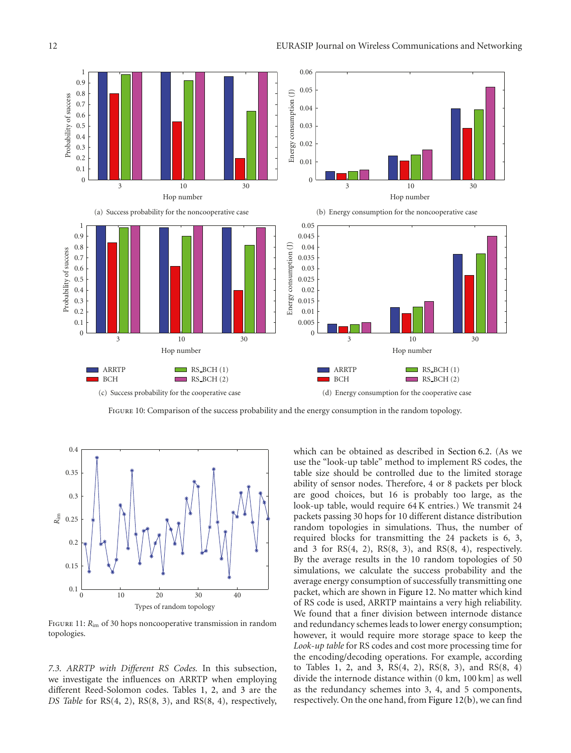

Figure 10: Comparison of the success probability and the energy consumption in the random topology.



FIGURE 11:  $R_{\text{im}}$  of 30 hops noncooperative transmission in random topologies.

*7.3. ARRTP with Different RS Codes.* In this subsection, we investigate the influences on ARRTP when employing different Reed-Solomon codes. Tables 1, 2, and 3 are the *DS Table* for RS(4, 2), RS(8, 3), and RS(8, 4), respectively,

which can be obtained as described in Section 6.2. (As we use the "look-up table" method to implement RS codes, the table size should be controlled due to the limited storage ability of sensor nodes. Therefore, 4 or 8 packets per block are good choices, but 16 is probably too large, as the look-up table, would require 64 K entries.) We transmit 24 packets passing 30 hops for 10 different distance distribution random topologies in simulations. Thus, the number of required blocks for transmitting the 24 packets is 6, 3, and 3 for  $RS(4, 2)$ ,  $RS(8, 3)$ , and  $RS(8, 4)$ , respectively. By the average results in the 10 random topologies of 50 simulations, we calculate the success probability and the average energy consumption of successfully transmitting one packet, which are shown in Figure 12. No matter which kind of RS code is used, ARRTP maintains a very high reliability. We found that a finer division between internode distance and redundancy schemes leads to lower energy consumption; however, it would require more storage space to keep the *Look-up table* for RS codes and cost more processing time for the encoding/decoding operations. For example, according to Tables 1, 2, and 3, RS(4, 2), RS(8, 3), and RS(8, 4) divide the internode distance within (0 km, 100 km] as well as the redundancy schemes into 3, 4, and 5 components, respectively. On the one hand, from Figure 12(b), we can find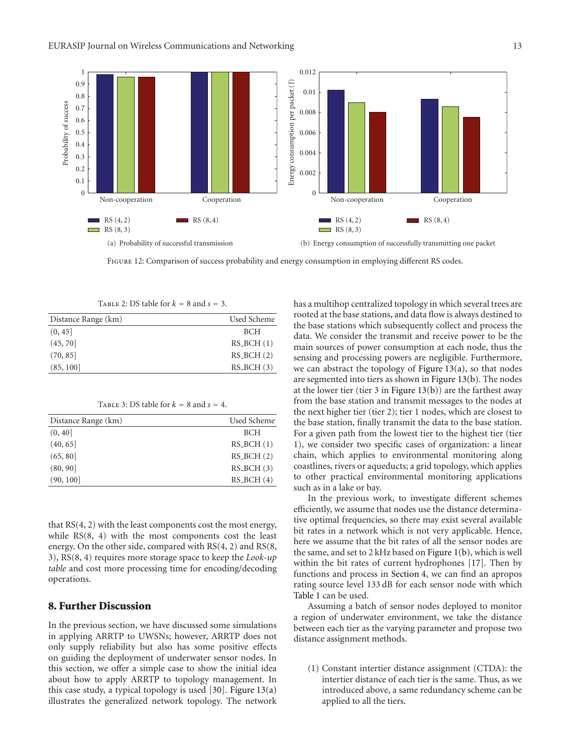

FIGURE 12: Comparison of success probability and energy consumption in employing different RS codes.

| TABLE 2: DS table for $k = 8$ and $s = 3$ . |             |  |
|---------------------------------------------|-------------|--|
| Distance Range (km)                         | Used Scheme |  |
| (0, 45]                                     | <b>BCH</b>  |  |
| (45, 70)                                    | $RS_BCH(1)$ |  |
| (70, 85)                                    | $RS_BCH(2)$ |  |
| (85, 100]                                   | $RS_BCH(3)$ |  |

TABLE 3: DS table for  $k = 8$  and  $s = 4$ .

| Distance Range (km) | Used Scheme |
|---------------------|-------------|
| (0, 40]             | <b>BCH</b>  |
| (40, 65)            | $RS_BCH(1)$ |
| (65, 80)            | $RS_BCH(2)$ |
| (80, 90]            | $RS_BCH(3)$ |
| (90, 100]           | $RS_BCH(4)$ |

that RS(4, 2) with the least components cost the most energy, while RS(8, 4) with the most components cost the least energy. On the other side, compared with RS(4, 2) and RS(8, 3), RS(8, 4) requires more storage space to keep the *Look-up table* and cost more processing time for encoding/decoding operations.

# **8. Further Discussion**

In the previous section, we have discussed some simulations in applying ARRTP to UWSNs; however, ARRTP does not only supply reliability but also has some positive effects on guiding the deployment of underwater sensor nodes. In this section, we offer a simple case to show the initial idea about how to apply ARRTP to topology management. In this case study, a typical topology is used  $[30]$ . Figure 13(a) illustrates the generalized network topology. The network has a multihop centralized topology in which several trees are rooted at the base stations, and data flow is always destined to the base stations which subsequently collect and process the data. We consider the transmit and receive power to be the main sources of power consumption at each node, thus the sensing and processing powers are negligible. Furthermore, we can abstract the topology of Figure  $13(a)$ , so that nodes are segmented into tiers as shown in Figure 13(b). The nodes at the lower tier (tier  $3$  in Figure 13(b)) are the farthest away from the base station and transmit messages to the nodes at the next higher tier (tier 2); tier 1 nodes, which are closest to the base station, finally transmit the data to the base station. For a given path from the lowest tier to the highest tier (tier 1), we consider two specific cases of organization: a linear chain, which applies to environmental monitoring along coastlines, rivers or aqueducts; a grid topology, which applies to other practical environmental monitoring applications such as in a lake or bay.

In the previous work, to investigate different schemes efficiently, we assume that nodes use the distance determinative optimal frequencies, so there may exist several available bit rates in a network which is not very applicable. Hence, here we assume that the bit rates of all the sensor nodes are the same, and set to 2 kHz based on Figure 1(b), which is well within the bit rates of current hydrophones [17]. Then by functions and process in Section 4, we can find an apropos rating source level 133 dB for each sensor node with which Table 1 can be used.

Assuming a batch of sensor nodes deployed to monitor a region of underwater environment, we take the distance between each tier as the varying parameter and propose two distance assignment methods.

(1) Constant intertier distance assignment (CTDA): the intertier distance of each tier is the same. Thus, as we introduced above, a same redundancy scheme can be applied to all the tiers.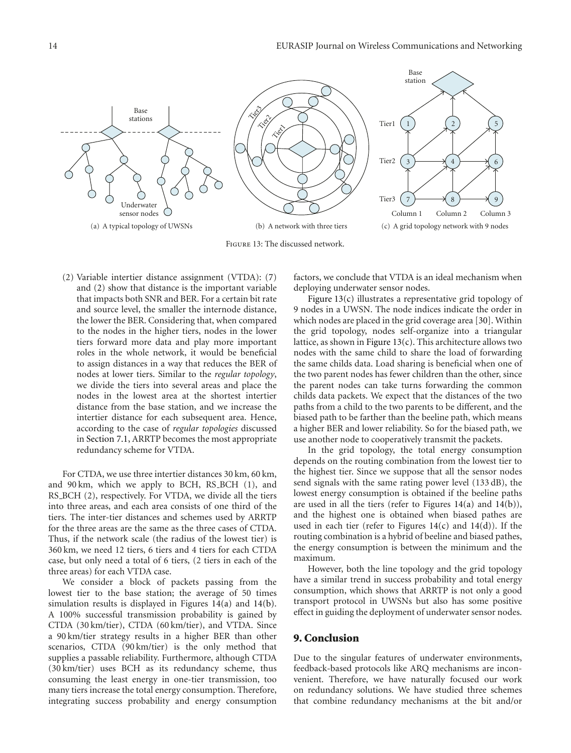

(2) Variable intertier distance assignment (VTDA): (7) and (2) show that distance is the important variable that impacts both SNR and BER. For a certain bit rate and source level, the smaller the internode distance, the lower the BER. Considering that, when compared to the nodes in the higher tiers, nodes in the lower tiers forward more data and play more important roles in the whole network, it would be beneficial to assign distances in a way that reduces the BER of nodes at lower tiers. Similar to the *regular topology*, we divide the tiers into several areas and place the nodes in the lowest area at the shortest intertier distance from the base station, and we increase the intertier distance for each subsequent area. Hence, according to the case of *regular topologies* discussed in Section 7.1, ARRTP becomes the most appropriate redundancy scheme for VTDA.

For CTDA, we use three intertier distances 30 km, 60 km, and 90 km, which we apply to BCH, RS\_BCH (1), and RS\_BCH (2), respectively. For VTDA, we divide all the tiers into three areas, and each area consists of one third of the tiers. The inter-tier distances and schemes used by ARRTP for the three areas are the same as the three cases of CTDA. Thus, if the network scale (the radius of the lowest tier) is 360 km, we need 12 tiers, 6 tiers and 4 tiers for each CTDA case, but only need a total of 6 tiers, (2 tiers in each of the three areas) for each VTDA case.

We consider a block of packets passing from the lowest tier to the base station; the average of 50 times simulation results is displayed in Figures 14(a) and 14(b). A 100% successful transmission probability is gained by CTDA (30 km/tier), CTDA (60 km/tier), and VTDA. Since a 90 km/tier strategy results in a higher BER than other scenarios, CTDA (90 km/tier) is the only method that supplies a passable reliability. Furthermore, although CTDA (30 km/tier) uses BCH as its redundancy scheme, thus consuming the least energy in one-tier transmission, too many tiers increase the total energy consumption. Therefore, integrating success probability and energy consumption

factors, we conclude that VTDA is an ideal mechanism when deploying underwater sensor nodes.

Figure 13(c) illustrates a representative grid topology of 9 nodes in a UWSN. The node indices indicate the order in which nodes are placed in the grid coverage area [30]. Within the grid topology, nodes self-organize into a triangular lattice, as shown in Figure 13(c). This architecture allows two nodes with the same child to share the load of forwarding the same childs data. Load sharing is beneficial when one of the two parent nodes has fewer children than the other, since the parent nodes can take turns forwarding the common childs data packets. We expect that the distances of the two paths from a child to the two parents to be different, and the biased path to be farther than the beeline path, which means a higher BER and lower reliability. So for the biased path, we use another node to cooperatively transmit the packets.

In the grid topology, the total energy consumption depends on the routing combination from the lowest tier to the highest tier. Since we suppose that all the sensor nodes send signals with the same rating power level (133 dB), the lowest energy consumption is obtained if the beeline paths are used in all the tiers (refer to Figures  $14(a)$  and  $14(b)$ ), and the highest one is obtained when biased pathes are used in each tier (refer to Figures  $14(c)$  and  $14(d)$ ). If the routing combination is a hybrid of beeline and biased pathes, the energy consumption is between the minimum and the maximum.

However, both the line topology and the grid topology have a similar trend in success probability and total energy consumption, which shows that ARRTP is not only a good transport protocol in UWSNs but also has some positive effect in guiding the deployment of underwater sensor nodes.

#### **9. Conclusion**

Due to the singular features of underwater environments, feedback-based protocols like ARQ mechanisms are inconvenient. Therefore, we have naturally focused our work on redundancy solutions. We have studied three schemes that combine redundancy mechanisms at the bit and/or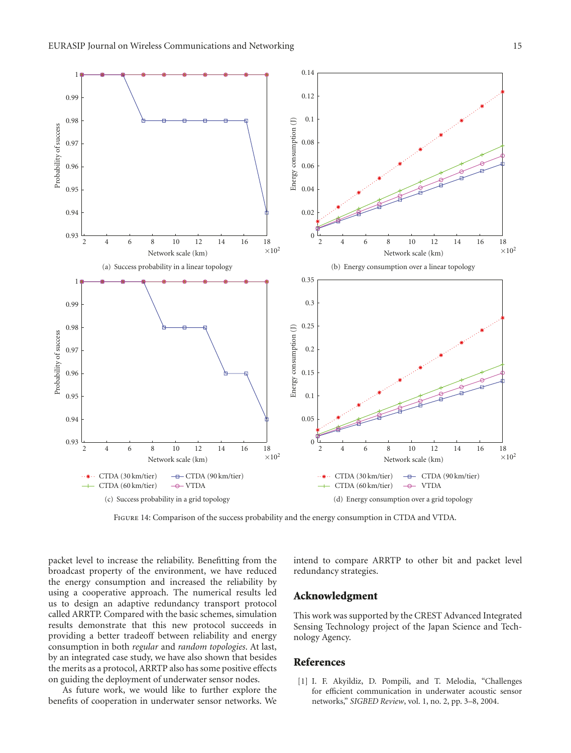

Figure 14: Comparison of the success probability and the energy consumption in CTDA and VTDA.

packet level to increase the reliability. Benefitting from the broadcast property of the environment, we have reduced the energy consumption and increased the reliability by using a cooperative approach. The numerical results led us to design an adaptive redundancy transport protocol called ARRTP. Compared with the basic schemes, simulation results demonstrate that this new protocol succeeds in providing a better tradeoff between reliability and energy consumption in both *regular* and *random topologies*. At last, by an integrated case study, we have also shown that besides the merits as a protocol, ARRTP also has some positive effects on guiding the deployment of underwater sensor nodes.

As future work, we would like to further explore the benefits of cooperation in underwater sensor networks. We intend to compare ARRTP to other bit and packet level redundancy strategies.

#### **Acknowledgment**

This work was supported by the CREST Advanced Integrated Sensing Technology project of the Japan Science and Technology Agency.

#### **References**

[1] I. F. Akyildiz, D. Pompili, and T. Melodia, "Challenges for efficient communication in underwater acoustic sensor networks," *SIGBED Review*, vol. 1, no. 2, pp. 3–8, 2004.